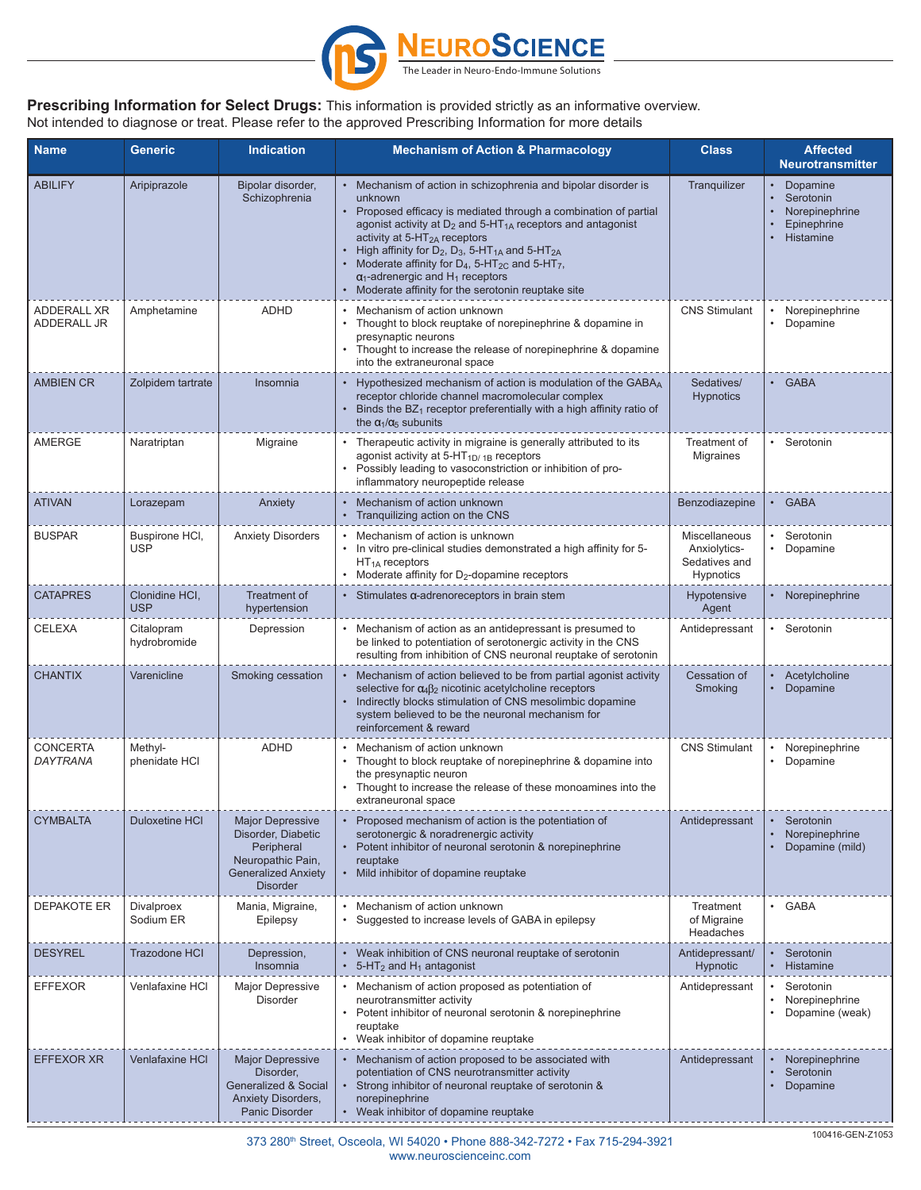

## **Prescribing Information for Select Drugs:** This information is provided strictly as an informative overview. Not intended to diagnose or treat. Please refer to the approved Prescribing Information for more details

| <b>Name</b>                       | <b>Generic</b>                 | <b>Indication</b>                                                                                                                 | <b>Mechanism of Action &amp; Pharmacology</b>                                                                                                                                                                                                                                                                                                                                                                                                                                                                                      | <b>Class</b>                                                | <b>Affected</b><br><b>Neurotransmitter</b>                                       |
|-----------------------------------|--------------------------------|-----------------------------------------------------------------------------------------------------------------------------------|------------------------------------------------------------------------------------------------------------------------------------------------------------------------------------------------------------------------------------------------------------------------------------------------------------------------------------------------------------------------------------------------------------------------------------------------------------------------------------------------------------------------------------|-------------------------------------------------------------|----------------------------------------------------------------------------------|
| <b>ABILIFY</b>                    | Aripiprazole                   | Bipolar disorder,<br>Schizophrenia                                                                                                | Mechanism of action in schizophrenia and bipolar disorder is<br>unknown<br>Proposed efficacy is mediated through a combination of partial<br>agonist activity at $D_2$ and 5-HT <sub>1A</sub> receptors and antagonist<br>activity at $5-HT_{2A}$ receptors<br>High affinity for $D_2$ , $D_3$ , 5-HT <sub>1A</sub> and 5-HT <sub>2A</sub><br>Moderate affinity for $D_4$ , 5-HT <sub>2C</sub> and 5-HT <sub>7</sub> ,<br>$\alpha_1$ -adrenergic and H <sub>1</sub> receptors<br>Moderate affinity for the serotonin reuptake site | Tranguilizer                                                | Dopamine<br>Serotonin<br>Norepinephrine<br>$\bullet$<br>Epinephrine<br>Histamine |
| <b>ADDERALL XR</b><br>ADDERALL JR | Amphetamine                    | <b>ADHD</b>                                                                                                                       | • Mechanism of action unknown<br>Thought to block reuptake of norepinephrine & dopamine in<br>presynaptic neurons<br>Thought to increase the release of norepinephrine & dopamine<br>into the extraneuronal space                                                                                                                                                                                                                                                                                                                  | <b>CNS Stimulant</b>                                        | • Norepinephrine<br>Dopamine                                                     |
| <b>AMBIEN CR</b>                  | Zolpidem tartrate              | Insomnia                                                                                                                          | Hypothesized mechanism of action is modulation of the GABAA<br>receptor chloride channel macromolecular complex<br>Binds the $BZ_1$ receptor preferentially with a high affinity ratio of<br>the $\alpha_1/\alpha_5$ subunits                                                                                                                                                                                                                                                                                                      | Sedatives/<br><b>Hypnotics</b>                              | · GABA                                                                           |
| AMERGE                            | Naratriptan                    | Migraine                                                                                                                          | Therapeutic activity in migraine is generally attributed to its<br>agonist activity at $5-HT_{1D/1B}$ receptors<br>Possibly leading to vasoconstriction or inhibition of pro-<br>inflammatory neuropeptide release                                                                                                                                                                                                                                                                                                                 | Treatment of<br><b>Migraines</b>                            | Serotonin                                                                        |
| <b>ATIVAN</b>                     | Lorazepam                      | Anxiety                                                                                                                           | • Mechanism of action unknown<br>Tranguilizing action on the CNS                                                                                                                                                                                                                                                                                                                                                                                                                                                                   | Benzodiazepine                                              | $\cdot$ GABA                                                                     |
| <b>BUSPAR</b>                     | Buspirone HCI,<br><b>USP</b>   | <b>Anxiety Disorders</b>                                                                                                          | • Mechanism of action is unknown<br>In vitro pre-clinical studies demonstrated a high affinity for 5-<br>$HT_{1A}$ receptors<br>Moderate affinity for $D_2$ -dopamine receptors                                                                                                                                                                                                                                                                                                                                                    | Miscellaneous<br>Anxiolytics-<br>Sedatives and<br>Hypnotics | • Serotonin<br>Dopamine                                                          |
| <b>CATAPRES</b>                   | Clonidine HCI,<br><b>USP</b>   | Treatment of<br>hypertension                                                                                                      | Stimulates a-adrenoreceptors in brain stem                                                                                                                                                                                                                                                                                                                                                                                                                                                                                         | Hypotensive<br>Agent                                        | Norepinephrine                                                                   |
| <b>CELEXA</b>                     | Citalopram<br>hydrobromide     | Depression                                                                                                                        | Mechanism of action as an antidepressant is presumed to<br>be linked to potentiation of serotonergic activity in the CNS<br>resulting from inhibition of CNS neuronal reuptake of serotonin                                                                                                                                                                                                                                                                                                                                        | Antidepressant                                              | • Serotonin                                                                      |
| <b>CHANTIX</b>                    | Varenicline                    | Smoking cessation                                                                                                                 | Mechanism of action believed to be from partial agonist activity<br>selective for $\alpha_4\beta_2$ nicotinic acetylcholine receptors<br>Indirectly blocks stimulation of CNS mesolimbic dopamine<br>system believed to be the neuronal mechanism for<br>reinforcement & reward                                                                                                                                                                                                                                                    | Cessation of<br>Smoking                                     | Acetylcholine<br>Dopamine                                                        |
| <b>CONCERTA</b><br>DAYTRANA       | Methyl-<br>phenidate HCI       | <b>ADHD</b>                                                                                                                       | Mechanism of action unknown<br>Thought to block reuptake of norepinephrine & dopamine into<br>$\bullet$<br>the presynaptic neuron<br>Thought to increase the release of these monoamines into the<br>extraneuronal space                                                                                                                                                                                                                                                                                                           | <b>CNS Stimulant</b>                                        | Norepinephrine<br>$\bullet$<br>• Dopamine                                        |
| <b>CYMBALTA</b>                   | <b>Duloxetine HCI</b>          | <b>Major Depressive</b><br>Disorder, Diabetic<br>Peripheral<br>Neuropathic Pain,<br><b>Generalized Anxiety</b><br><b>Disorder</b> | Proposed mechanism of action is the potentiation of<br>serotonergic & noradrenergic activity<br>Potent inhibitor of neuronal serotonin & norepinephrine<br>reuptake<br>Mild inhibitor of dopamine reuptake                                                                                                                                                                                                                                                                                                                         | Antidepressant                                              | Serotonin<br>Norepinephrine<br>Dopamine (mild)                                   |
| <b>DEPAKOTE ER</b>                | <b>Divalproex</b><br>Sodium ER | Mania, Migraine,<br>Epilepsy                                                                                                      | • Mechanism of action unknown<br>Suggested to increase levels of GABA in epilepsy                                                                                                                                                                                                                                                                                                                                                                                                                                                  | Treatment<br>of Migraine<br>Headaches                       | • GABA                                                                           |
| <b>DESYREL</b>                    | <b>Trazodone HCI</b>           | Depression,<br>Insomnia                                                                                                           | Weak inhibition of CNS neuronal reuptake of serotonin<br>5-HT <sub>2</sub> and H <sub>1</sub> antagonist                                                                                                                                                                                                                                                                                                                                                                                                                           | Antidepressant/<br><b>Hypnotic</b>                          | Serotonin<br>Histamine                                                           |
| <b>EFFEXOR</b>                    | Venlafaxine HCI                | <b>Major Depressive</b><br>Disorder                                                                                               | Mechanism of action proposed as potentiation of<br>neurotransmitter activity<br>Potent inhibitor of neuronal serotonin & norepinephrine<br>reuptake<br>Weak inhibitor of dopamine reuptake                                                                                                                                                                                                                                                                                                                                         | Antidepressant                                              | • Serotonin<br>Norepinephrine<br>Dopamine (weak)                                 |
| <b>EFFEXOR XR</b>                 | <b>Venlafaxine HCI</b>         | <b>Major Depressive</b><br>Disorder,<br><b>Generalized &amp; Social</b><br>Anxiety Disorders,<br>Panic Disorder                   | Mechanism of action proposed to be associated with<br>potentiation of CNS neurotransmitter activity<br>Strong inhibitor of neuronal reuptake of serotonin &<br>norepinephrine<br>Weak inhibitor of dopamine reuptake                                                                                                                                                                                                                                                                                                               | Antidepressant                                              | Norepinephrine<br>Serotonin<br>Dopamine<br>$\bullet$                             |

373 280th Street, Osceola, WI 54020 • Phone 888-342-7272 • Fax 715-294-3921 www.neuroscienceinc.com

100416-GEN-Z1053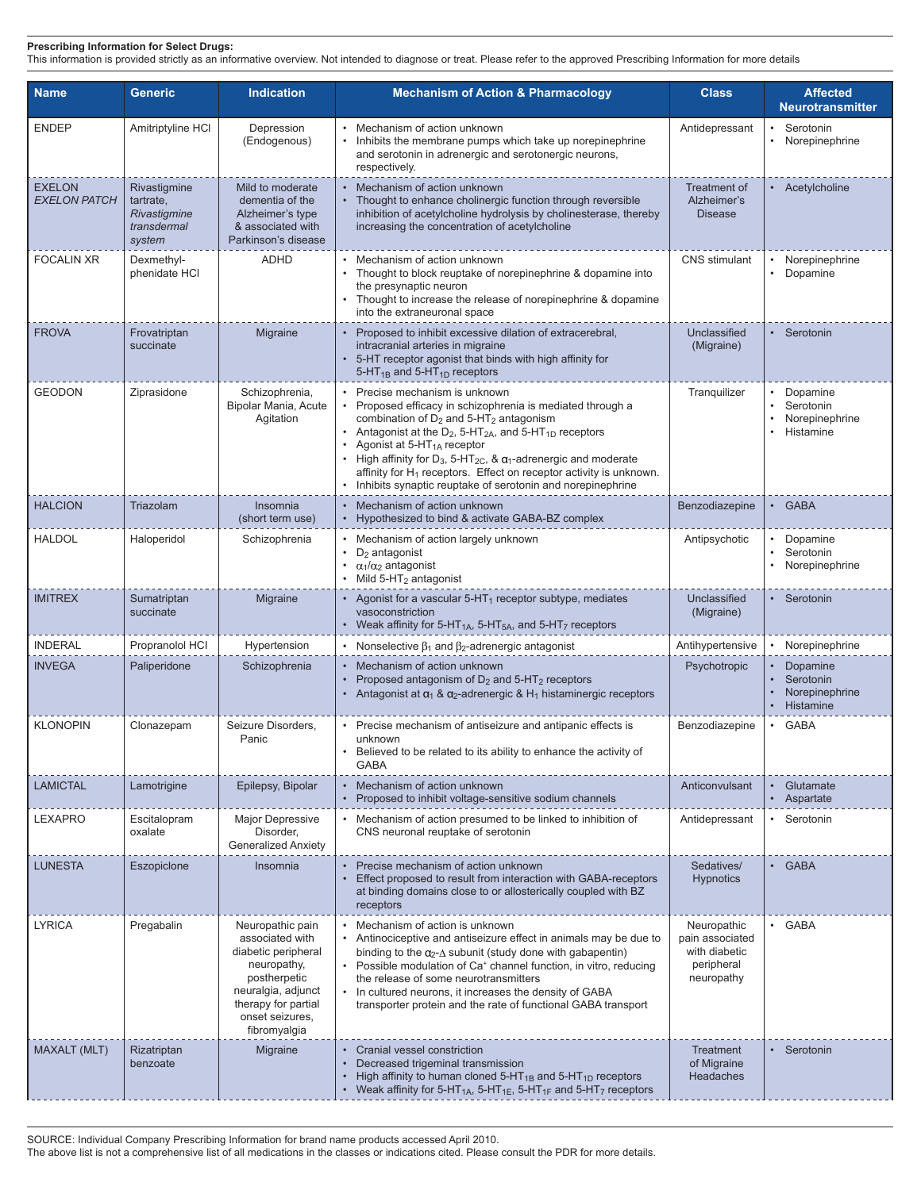## **Prescribing Information for Select Drugs:**

This information is provided strictly as an informative overview. Not intended to diagnose or treat. Please refer to the approved Prescribing Information for more details

| <b>Name</b>                          | <b>Generic</b>                                                     | <b>Indication</b>                                                                                                                                                         | <b>Mechanism of Action &amp; Pharmacology</b>                                                                                                                                                                                                                                                                                                                                                                                                                                                                   | <b>Class</b>                                         | <b>Affected</b><br><b>Neurotransmitter</b>             |
|--------------------------------------|--------------------------------------------------------------------|---------------------------------------------------------------------------------------------------------------------------------------------------------------------------|-----------------------------------------------------------------------------------------------------------------------------------------------------------------------------------------------------------------------------------------------------------------------------------------------------------------------------------------------------------------------------------------------------------------------------------------------------------------------------------------------------------------|------------------------------------------------------|--------------------------------------------------------|
| <b>ENDEP</b>                         | Amitriptyline HCI                                                  | Depression<br>(Endogenous)                                                                                                                                                | Mechanism of action unknown<br>Inhibits the membrane pumps which take up norepinephrine<br>$\bullet$<br>and serotonin in adrenergic and serotonergic neurons,<br>respectively.                                                                                                                                                                                                                                                                                                                                  | Antidepressant                                       | Serotonin<br>• Norepinephrine                          |
| <b>EXELON</b><br><b>EXELON PATCH</b> | Rivastigmine<br>tartrate,<br>Rivastigmine<br>transdermal<br>system | Mild to moderate<br>dementia of the<br>Alzheimer's type<br>& associated with<br>Parkinson's disease                                                                       | Mechanism of action unknown<br>$\bullet$<br>Thought to enhance cholinergic function through reversible<br>inhibition of acetylcholine hydrolysis by cholinesterase, thereby<br>increasing the concentration of acetylcholine                                                                                                                                                                                                                                                                                    | <b>Treatment of</b><br>Alzheimer's<br><b>Disease</b> | • Acetylcholine                                        |
| <b>FOCALIN XR</b>                    | Dexmethyl-<br>phenidate HCI                                        | <b>ADHD</b>                                                                                                                                                               | Mechanism of action unknown<br>Thought to block reuptake of norepinephrine & dopamine into<br>the presynaptic neuron<br>Thought to increase the release of norepinephrine & dopamine<br>into the extraneuronal space                                                                                                                                                                                                                                                                                            | CNS stimulant                                        | Norepinephrine<br>Dopamine                             |
| <b>FROVA</b>                         | Frovatriptan<br>succinate                                          | Migraine                                                                                                                                                                  | Proposed to inhibit excessive dilation of extracerebral,<br>intracranial arteries in migraine<br>5-HT receptor agonist that binds with high affinity for<br>5-HT <sub>1B</sub> and 5-HT <sub>1D</sub> receptors                                                                                                                                                                                                                                                                                                 | Unclassified<br>(Migraine)                           | • Serotonin                                            |
| <b>GEODON</b>                        | Ziprasidone                                                        | Schizophrenia,<br>Bipolar Mania, Acute<br>Agitation                                                                                                                       | Precise mechanism is unknown<br>Proposed efficacy in schizophrenia is mediated through a<br>combination of $D_2$ and $5-HT_2$ antagonism<br>Antagonist at the D <sub>2</sub> , 5-HT <sub>2A</sub> , and 5-HT <sub>1D</sub> receptors<br>Agonist at 5-HT <sub>1A</sub> receptor<br>High affinity for $D_3$ , 5-HT <sub>2C</sub> , & $\alpha_1$ -adrenergic and moderate<br>affinity for $H_1$ receptors. Effect on receptor activity is unknown.<br>Inhibits synaptic reuptake of serotonin and norepinephrine   | Tranquilizer                                         | • Dopamine<br>Serotonin<br>Norepinephrine<br>Histamine |
| <b>HALCION</b>                       | Triazolam                                                          | Insomnia<br>(short term use)                                                                                                                                              | Mechanism of action unknown<br>Hypothesized to bind & activate GABA-BZ complex<br>$\bullet$                                                                                                                                                                                                                                                                                                                                                                                                                     | Benzodiazepine                                       | · GABA                                                 |
| <b>HALDOL</b>                        | Haloperidol                                                        | Schizophrenia                                                                                                                                                             | Mechanism of action largely unknown<br>$D_2$ antagonist<br>$\alpha_1/\alpha_2$ antagonist<br>$\bullet$<br>Mild $5-HT2$ antagonist                                                                                                                                                                                                                                                                                                                                                                               | Antipsychotic                                        | • Dopamine<br>Serotonin<br>Norepinephrine              |
| <b>IMITREX</b>                       | Sumatriptan<br>succinate                                           | Migraine                                                                                                                                                                  | Agonist for a vascular $5-HT_1$ receptor subtype, mediates<br>vasoconstriction<br>Weak affinity for 5-HT <sub>1A</sub> , 5-HT <sub>5A</sub> , and 5-HT <sub>7</sub> receptors                                                                                                                                                                                                                                                                                                                                   | Unclassified<br>(Migraine)                           | • Serotonin                                            |
| <b>INDERAL</b>                       | Propranolol HCI                                                    | Hypertension                                                                                                                                                              | • Nonselective $\beta_1$ and $\beta_2$ -adrenergic antagonist                                                                                                                                                                                                                                                                                                                                                                                                                                                   | Antihypertensive                                     | • Norepinephrine                                       |
| <b>INVEGA</b>                        | Paliperidone                                                       | Schizophrenia                                                                                                                                                             | Mechanism of action unknown<br>$\bullet$<br>Proposed antagonism of $D_2$ and 5-HT <sub>2</sub> receptors<br>Antagonist at $\alpha_1$ & $\alpha_2$ -adrenergic & H <sub>1</sub> histaminergic receptors                                                                                                                                                                                                                                                                                                          | Psychotropic                                         | Dopamine<br>Serotonin<br>Norepinephrine<br>Histamine   |
| <b>KLONOPIN</b>                      | Clonazepam                                                         | Seizure Disorders,<br>Panic                                                                                                                                               | • Precise mechanism of antiseizure and antipanic effects is<br>unknown<br>Believed to be related to its ability to enhance the activity of<br>GABA                                                                                                                                                                                                                                                                                                                                                              | Benzodiazepine                                       | • GABA                                                 |
| <b>LAMICTAL</b>                      | Lamotrigine                                                        | Epilepsy, Bipolar                                                                                                                                                         | Mechanism of action unknown<br>Proposed to inhibit voltage-sensitive sodium channels                                                                                                                                                                                                                                                                                                                                                                                                                            | Anticonvulsant                                       | Glutamate<br>• Aspartate                               |
| <b>LEXAPRO</b>                       | Escitalopram<br>oxalate                                            | <b>Major Depressive</b><br>Disorder,<br><b>Generalized Anxiety</b>                                                                                                        | Mechanism of action presumed to be linked to inhibition of<br>CNS neuronal reuptake of serotonin                                                                                                                                                                                                                                                                                                                                                                                                                | Antidepressant                                       | • Serotonin                                            |
| <b>LUNESTA</b>                       | Eszopiclone                                                        | Insomnia                                                                                                                                                                  | Precise mechanism of action unknown<br>Effect proposed to result from interaction with GABA-receptors<br>at binding domains close to or allosterically coupled with BZ<br>receptors                                                                                                                                                                                                                                                                                                                             | Sedatives/<br><b>Hypnotics</b>                       | • GABA                                                 |
| <b>LYRICA</b>                        | Pregabalin                                                         | Neuropathic pain<br>associated with<br>diabetic peripheral<br>neuropathy,<br>postherpetic<br>neuralgia, adjunct<br>therapy for partial<br>onset seizures,<br>fibromyalgia | Neuropathic<br>Mechanism of action is unknown<br>Antinociceptive and antiseizure effect in animals may be due to<br>pain associated<br>with diabetic<br>binding to the $\alpha_2$ - $\Delta$ subunit (study done with gabapentin)<br>Possible modulation of Ca <sup>+</sup> channel function, in vitro, reducing<br>peripheral<br>neuropathy<br>the release of some neurotransmitters<br>In cultured neurons, it increases the density of GABA<br>transporter protein and the rate of functional GABA transport |                                                      | • GABA                                                 |
| <b>MAXALT (MLT)</b>                  | Rizatriptan<br>benzoate                                            | Migraine                                                                                                                                                                  | Cranial vessel constriction<br>$\bullet$<br>Decreased trigeminal transmission<br>High affinity to human cloned $5-HT_{1B}$ and $5-HT_{1D}$ receptors<br>Weak affinity for 5-HT <sub>1A</sub> , 5-HT <sub>1E</sub> , 5-HT <sub>1F</sub> and 5-HT <sub>7</sub> receptors<br>$\bullet$                                                                                                                                                                                                                             | Treatment<br>of Migraine<br>Headaches                | • Serotonin                                            |

SOURCE: Individual Company Prescribing Information for brand name products accessed April 2010.

The above list is not a comprehensive list of all medications in the classes or indications cited. Please consult the PDR for more details.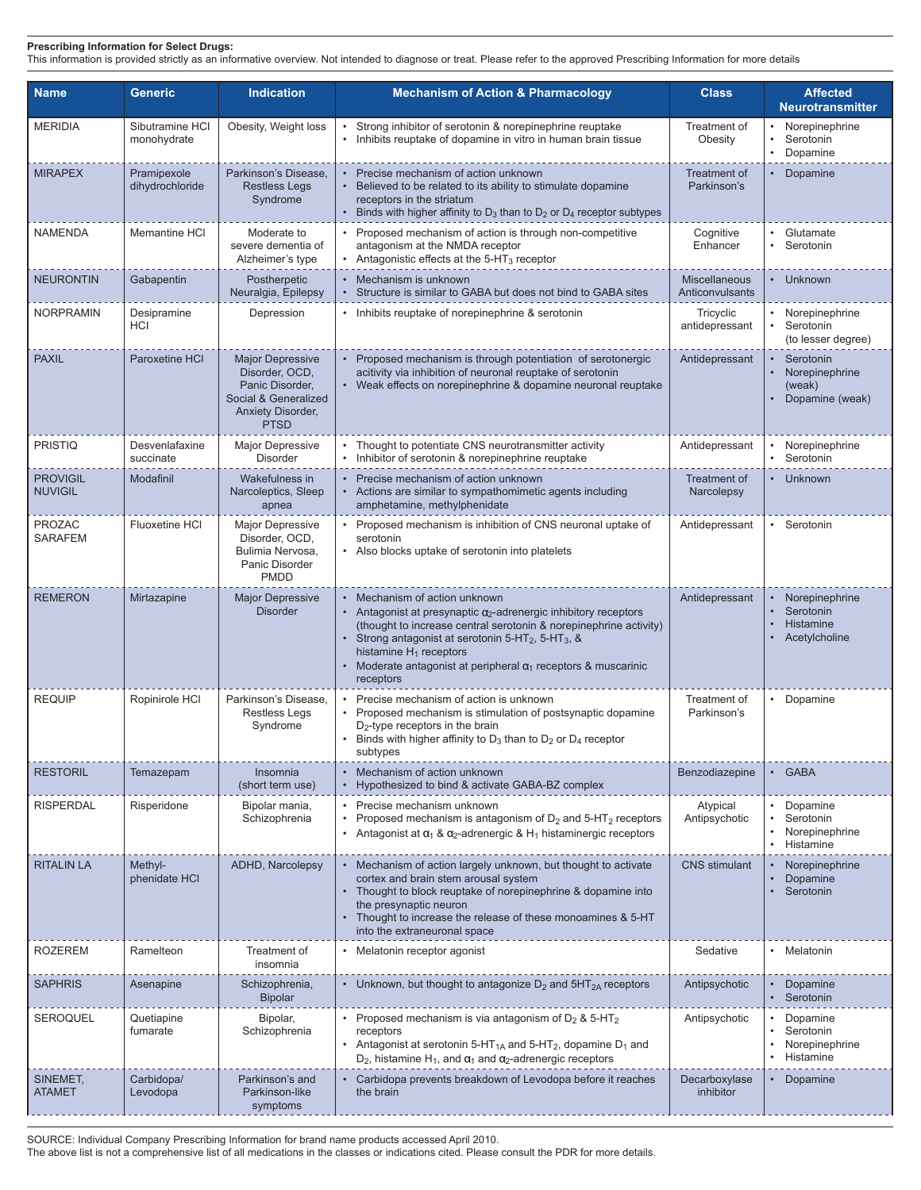This information is provided strictly as an informative overview. Not intended to diagnose or treat. Please refer to the approved Prescribing Information for more details

| <b>Name</b>                       | <b>Generic</b>                 | <b>Indication</b>                                                                                                        | <b>Mechanism of Action &amp; Pharmacology</b>                                                                                                                                                                                                                                                                                                                          | <b>Class</b>                       | <b>Affected</b><br><b>Neurotransmitter</b>                            |
|-----------------------------------|--------------------------------|--------------------------------------------------------------------------------------------------------------------------|------------------------------------------------------------------------------------------------------------------------------------------------------------------------------------------------------------------------------------------------------------------------------------------------------------------------------------------------------------------------|------------------------------------|-----------------------------------------------------------------------|
| <b>MERIDIA</b>                    | Sibutramine HCI<br>monohydrate | Obesity, Weight loss                                                                                                     | Strong inhibitor of serotonin & norepinephrine reuptake<br>Inhibits reuptake of dopamine in vitro in human brain tissue                                                                                                                                                                                                                                                | Treatment of<br>Obesity            | Norepinephrine<br>Serotonin<br>$\bullet$<br>Dopamine                  |
| <b>MIRAPEX</b>                    | Pramipexole<br>dihydrochloride | Parkinson's Disease.<br><b>Restless Legs</b><br>Syndrome                                                                 | Precise mechanism of action unknown<br>Believed to be related to its ability to stimulate dopamine<br>receptors in the striatum<br>Binds with higher affinity to $D_3$ than to $D_2$ or $D_4$ receptor subtypes                                                                                                                                                        | <b>Treatment of</b><br>Parkinson's | Dopamine                                                              |
| <b>NAMENDA</b>                    | <b>Memantine HCI</b>           | Moderate to<br>severe dementia of<br>Alzheimer's type                                                                    | • Proposed mechanism of action is through non-competitive<br>antagonism at the NMDA receptor<br>Antagonistic effects at the 5-HT <sub>3</sub> receptor                                                                                                                                                                                                                 | Cognitive<br>Enhancer              | Glutamate<br>Serotonin                                                |
| <b>NEURONTIN</b>                  | Gabapentin                     | Postherpetic<br>Neuralgia, Epilepsy                                                                                      | • Mechanism is unknown<br>Structure is similar to GABA but does not bind to GABA sites                                                                                                                                                                                                                                                                                 | Miscellaneous<br>Anticonvulsants   | • Unknown                                                             |
| <b>NORPRAMIN</b>                  | Desipramine<br><b>HCI</b>      | Depression                                                                                                               | • Inhibits reuptake of norepinephrine & serotonin                                                                                                                                                                                                                                                                                                                      | Tricyclic<br>antidepressant        | Norepinephrine<br>$\bullet$<br>Serotonin<br>(to lesser degree)        |
| <b>PAXIL</b>                      | Paroxetine HCI                 | <b>Major Depressive</b><br>Disorder, OCD,<br>Panic Disorder,<br>Social & Generalized<br>Anxiety Disorder,<br><b>PTSD</b> | • Proposed mechanism is through potentiation of serotonergic<br>acitivity via inhibition of neuronal reuptake of serotonin<br>Weak effects on norepinephrine & dopamine neuronal reuptake                                                                                                                                                                              | Antidepressant                     | Serotonin<br>$\bullet$<br>Norepinephrine<br>(weak)<br>Dopamine (weak) |
| <b>PRISTIQ</b>                    | Desvenlafaxine<br>succinate    | <b>Major Depressive</b><br>Disorder                                                                                      | Thought to potentiate CNS neurotransmitter activity<br>Inhibitor of serotonin & norepinephrine reuptake                                                                                                                                                                                                                                                                | Antidepressant                     | Norepinephrine<br>Serotonin                                           |
| <b>PROVIGIL</b><br><b>NUVIGIL</b> | Modafinil                      | Wakefulness in<br>Narcoleptics, Sleep<br>apnea                                                                           | Precise mechanism of action unknown<br>$\bullet$<br>Actions are similar to sympathomimetic agents including<br>amphetamine, methylphenidate                                                                                                                                                                                                                            | Treatment of<br>Narcolepsy         | • Unknown                                                             |
| <b>PROZAC</b><br><b>SARAFEM</b>   | Fluoxetine HCI                 | Major Depressive<br>Disorder, OCD,<br>Bulimia Nervosa,<br>Panic Disorder<br><b>PMDD</b>                                  | Proposed mechanism is inhibition of CNS neuronal uptake of<br>serotonin<br>Also blocks uptake of serotonin into platelets                                                                                                                                                                                                                                              | Antidepressant                     | • Serotonin                                                           |
| <b>REMERON</b>                    | Mirtazapine                    | <b>Major Depressive</b><br><b>Disorder</b>                                                                               | Mechanism of action unknown<br>Antagonist at presynaptic $\alpha_2$ -adrenergic inhibitory receptors<br>(thought to increase central serotonin & norepinephrine activity)<br>Strong antagonist at serotonin 5-HT <sub>2</sub> , 5-HT <sub>3</sub> , &<br>histamine $H_1$ receptors<br>Moderate antagonist at peripheral $\alpha_1$ receptors & muscarinic<br>receptors | Antidepressant                     | Norepinephrine<br>Serotonin<br>Histamine<br>Acetylcholine             |
| <b>REQUIP</b>                     | Ropinirole HCI                 | Parkinson's Disease.<br><b>Restless Legs</b><br>Syndrome                                                                 | Precise mechanism of action is unknown<br>Proposed mechanism is stimulation of postsynaptic dopamine<br>$D_2$ -type receptors in the brain<br>Binds with higher affinity to $D_3$ than to $D_2$ or $D_4$ receptor<br>subtypes                                                                                                                                          | Treatment of<br>Parkinson's        | • Dopamine                                                            |
| <b>RESTORIL</b>                   | Temazepam                      | Insomnia<br>(short term use)                                                                                             | Mechanism of action unknown<br>Hypothesized to bind & activate GABA-BZ complex                                                                                                                                                                                                                                                                                         | Benzodiazepine                     | • GABA                                                                |
| <b>RISPERDAL</b>                  | Risperidone                    | Bipolar mania,<br>Schizophrenia                                                                                          | Precise mechanism unknown<br>Proposed mechanism is antagonism of $D_2$ and 5-HT <sub>2</sub> receptors<br>$\bullet$<br>Antagonist at $\alpha_1$ & $\alpha_2$ -adrenergic & H <sub>1</sub> histaminergic receptors                                                                                                                                                      | Atypical<br>Antipsychotic          | Dopamine<br>Serotonin<br>Norepinephrine<br>• Histamine                |
| <b>RITALIN LA</b>                 | Methyl-<br>phenidate HCI       | ADHD, Narcolepsy                                                                                                         | • Mechanism of action largely unknown, but thought to activate<br>cortex and brain stem arousal system<br>Thought to block reuptake of norepinephrine & dopamine into<br>the presynaptic neuron<br>Thought to increase the release of these monoamines & 5-HT<br>into the extraneuronal space                                                                          | <b>CNS</b> stimulant               | Norepinephrine<br>Dopamine<br>• Serotonin                             |
| <b>ROZEREM</b>                    | Ramelteon                      | Treatment of<br>insomnia                                                                                                 | Melatonin receptor agonist                                                                                                                                                                                                                                                                                                                                             | Sedative                           | Melatonin                                                             |
| <b>SAPHRIS</b>                    | Asenapine                      | Schizophrenia,<br><b>Bipolar</b>                                                                                         | • Unknown, but thought to antagonize $D_2$ and $5HT_{2A}$ receptors                                                                                                                                                                                                                                                                                                    | Antipsychotic                      | Dopamine<br>Serotonin                                                 |
| <b>SEROQUEL</b>                   | Quetiapine<br>fumarate         | Bipolar,<br>Schizophrenia                                                                                                | • Proposed mechanism is via antagonism of $D_2$ & 5-HT <sub>2</sub><br>receptors<br>Antagonist at serotonin 5-HT <sub>1A</sub> and 5-HT <sub>2</sub> , dopamine $D_1$ and<br>$D_2$ , histamine H <sub>1</sub> , and $\alpha_1$ and $\alpha_2$ -adrenergic receptors                                                                                                    | Antipsychotic                      | • Dopamine<br>Serotonin<br>Norepinephrine<br>$\bullet$<br>Histamine   |
| SINEMET,<br><b>ATAMET</b>         | Carbidopa/<br>Levodopa         | Parkinson's and<br>Parkinson-like<br>symptoms                                                                            | Carbidopa prevents breakdown of Levodopa before it reaches<br>the brain                                                                                                                                                                                                                                                                                                | Decarboxylase<br>inhibitor         | • Dopamine                                                            |

SOURCE: Individual Company Prescribing Information for brand name products accessed April 2010.

The above list is not a comprehensive list of all medications in the classes or indications cited. Please consult the PDR for more details.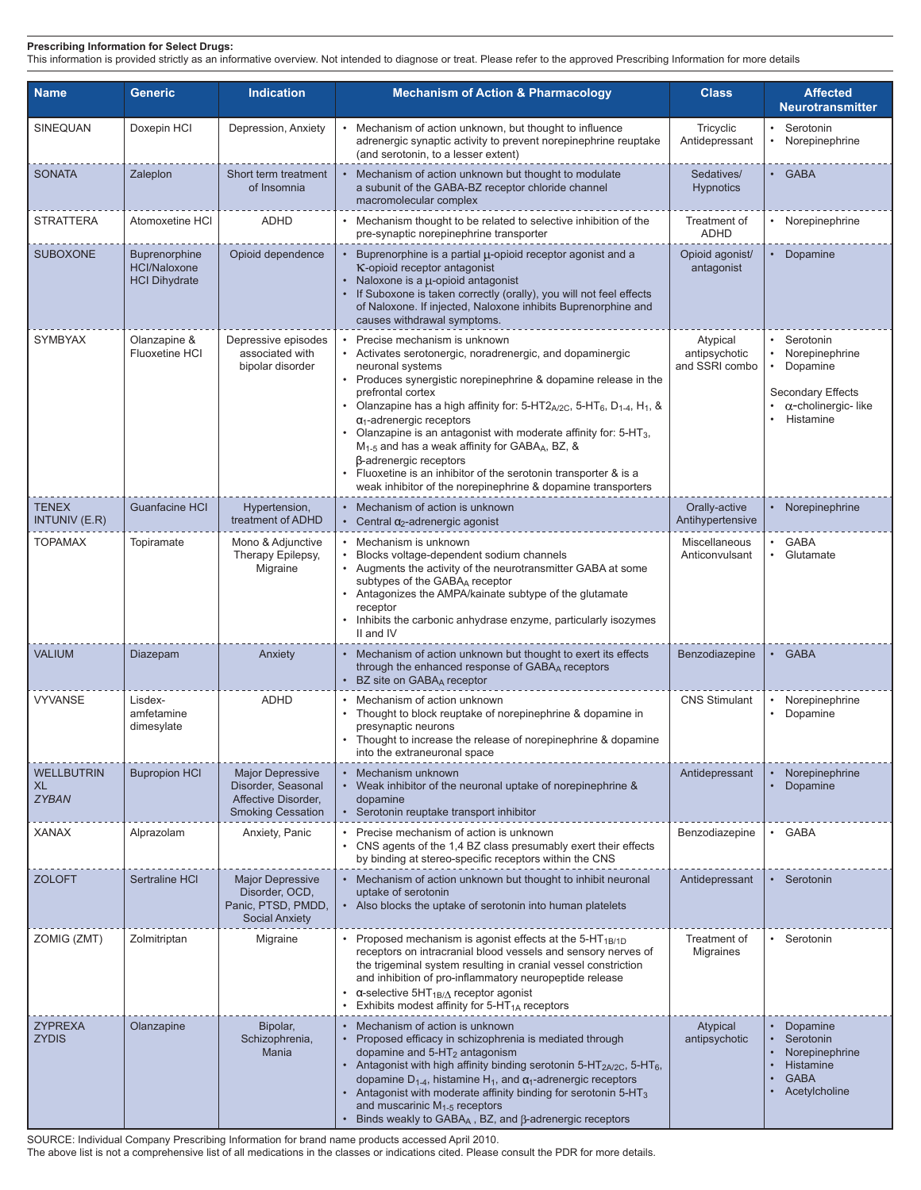This information is provided strictly as an informative overview. Not intended to diagnose or treat. Please refer to the approved Prescribing Information for more details

| <b>Name</b>                             | <b>Generic</b>                                               | <b>Indication</b>                                                                                          | <b>Mechanism of Action &amp; Pharmacology</b>                                                                                                                                                                                                                                                                                                                                                                                                                                                                                                                                                                                                                                 | <b>Class</b>                                | <b>Affected</b><br><b>Neurotransmitter</b>                                                                     |
|-----------------------------------------|--------------------------------------------------------------|------------------------------------------------------------------------------------------------------------|-------------------------------------------------------------------------------------------------------------------------------------------------------------------------------------------------------------------------------------------------------------------------------------------------------------------------------------------------------------------------------------------------------------------------------------------------------------------------------------------------------------------------------------------------------------------------------------------------------------------------------------------------------------------------------|---------------------------------------------|----------------------------------------------------------------------------------------------------------------|
| SINEQUAN                                | Doxepin HCI                                                  | Depression, Anxiety                                                                                        | Mechanism of action unknown, but thought to influence<br>adrenergic synaptic activity to prevent norepinephrine reuptake<br>(and serotonin, to a lesser extent)                                                                                                                                                                                                                                                                                                                                                                                                                                                                                                               | Tricyclic<br>Antidepressant                 | Serotonin<br>Norepinephrine                                                                                    |
| <b>SONATA</b>                           | Zaleplon                                                     | Short term treatment<br>of Insomnia                                                                        | Mechanism of action unknown but thought to modulate<br>a subunit of the GABA-BZ receptor chloride channel<br>macromolecular complex                                                                                                                                                                                                                                                                                                                                                                                                                                                                                                                                           | Sedatives/<br><b>Hypnotics</b>              | • GABA                                                                                                         |
| <b>STRATTERA</b>                        | Atomoxetine HCI                                              | <b>ADHD</b>                                                                                                | Mechanism thought to be related to selective inhibition of the<br>pre-synaptic norepinephrine transporter                                                                                                                                                                                                                                                                                                                                                                                                                                                                                                                                                                     | Treatment of<br><b>ADHD</b>                 | Norepinephrine                                                                                                 |
| <b>SUBOXONE</b>                         | Buprenorphine<br><b>HCl/Naloxone</b><br><b>HCI Dihydrate</b> | Opioid dependence                                                                                          | Buprenorphine is a partial µ-opioid receptor agonist and a<br>K-opioid receptor antagonist<br>Naloxone is a u-opioid antagonist<br>If Suboxone is taken correctly (orally), you will not feel effects<br>of Naloxone. If injected, Naloxone inhibits Buprenorphine and<br>causes withdrawal symptoms.                                                                                                                                                                                                                                                                                                                                                                         | Opioid agonist/<br>antagonist               | • Dopamine                                                                                                     |
| <b>SYMBYAX</b>                          | Olanzapine &<br><b>Fluoxetine HCI</b>                        | Depressive episodes<br>associated with<br>bipolar disorder                                                 | Precise mechanism is unknown<br>Activates serotonergic, noradrenergic, and dopaminergic<br>neuronal systems<br>Produces synergistic norepinephrine & dopamine release in the<br>prefrontal cortex<br>Olanzapine has a high affinity for: 5-HT2 $_{A/2C}$ , 5-HT <sub>6</sub> , D <sub>1-4</sub> , H <sub>1</sub> , &<br>$\alpha_1$ -adrenergic receptors<br>Olanzapine is an antagonist with moderate affinity for: 5-HT <sub>3</sub> ,<br>M <sub>1-5</sub> and has a weak affinity for GABA <sub>A</sub> , BZ, &<br>β-adrenergic receptors<br>Fluoxetine is an inhibitor of the serotonin transporter & is a<br>weak inhibitor of the norepinephrine & dopamine transporters | Atypical<br>antipsychotic<br>and SSRI combo | Serotonin<br>Norepinephrine<br>Dopamine<br><b>Secondary Effects</b><br>$\alpha$ -cholinergic-like<br>Histamine |
| <b>TENEX</b><br><b>INTUNIV (E.R)</b>    | <b>Guanfacine HCI</b>                                        | Hypertension,<br>treatment of ADHD                                                                         | Mechanism of action is unknown<br>• Central $\alpha_2$ -adrenergic agonist                                                                                                                                                                                                                                                                                                                                                                                                                                                                                                                                                                                                    | Orally-active<br>Antihypertensive           | Norepinephrine                                                                                                 |
| <b>TOPAMAX</b>                          | Topiramate                                                   | Mono & Adjunctive<br>Therapy Epilepsy,<br>Migraine                                                         | Mechanism is unknown<br>Blocks voltage-dependent sodium channels<br>Augments the activity of the neurotransmitter GABA at some<br>subtypes of the GABAA receptor<br>Antagonizes the AMPA/kainate subtype of the glutamate<br>receptor<br>Inhibits the carbonic anhydrase enzyme, particularly isozymes<br>II and IV                                                                                                                                                                                                                                                                                                                                                           | Miscellaneous<br>Anticonvulsant             | · GABA<br>Glutamate                                                                                            |
| <b>VALIUM</b>                           | Diazepam                                                     | Anxiety                                                                                                    | Mechanism of action unknown but thought to exert its effects<br>through the enhanced response of GABAA receptors<br>BZ site on GABAA receptor                                                                                                                                                                                                                                                                                                                                                                                                                                                                                                                                 | Benzodiazepine                              | <b>GABA</b>                                                                                                    |
| <b>VYVANSE</b>                          | Lisdex-<br>amfetamine<br>dimesylate                          | <b>ADHD</b>                                                                                                | Mechanism of action unknown<br>Thought to block reuptake of norepinephrine & dopamine in<br>presynaptic neurons<br>Thought to increase the release of norepinephrine & dopamine<br>into the extraneuronal space                                                                                                                                                                                                                                                                                                                                                                                                                                                               | <b>CNS Stimulant</b>                        | Norepinephrine<br>Dopamine<br>$\bullet$                                                                        |
| <b>WELLBUTRIN</b><br>XL<br><b>ZYBAN</b> | <b>Bupropion HCI</b>                                         | <b>Major Depressive</b><br>Disorder, Seasonal<br>Affective Disorder,<br><b>Smoking Cessation</b>           | • Mechanism unknown<br>Weak inhibitor of the neuronal uptake of norepinephrine &<br>dopamine<br>Serotonin reuptake transport inhibitor                                                                                                                                                                                                                                                                                                                                                                                                                                                                                                                                        | Antidepressant                              | Norepinephrine<br>Dopamine                                                                                     |
| <b>XANAX</b><br><b>ZOLOFT</b>           | Alprazolam<br>Sertraline HCI                                 | Anxiety, Panic<br><b>Major Depressive</b><br>Disorder, OCD,<br>Panic, PTSD, PMDD,<br><b>Social Anxiety</b> | Precise mechanism of action is unknown<br>CNS agents of the 1,4 BZ class presumably exert their effects<br>by binding at stereo-specific receptors within the CNS<br>Mechanism of action unknown but thought to inhibit neuronal<br>uptake of serotonin<br>Also blocks the uptake of serotonin into human platelets                                                                                                                                                                                                                                                                                                                                                           | Benzodiazepine<br>Antidepressant            | • GABA<br>Serotonin                                                                                            |
| ZOMIG (ZMT)                             | Zolmitriptan                                                 | Migraine                                                                                                   | • Proposed mechanism is agonist effects at the 5-HT <sub>1B/1D</sub><br>receptors on intracranial blood vessels and sensory nerves of<br>the trigeminal system resulting in cranial vessel constriction<br>and inhibition of pro-inflammatory neuropeptide release<br>$\alpha$ -selective 5HT <sub>1B/<math>\Delta</math></sub> receptor agonist<br>Exhibits modest affinity for $5-HT_{1A}$ receptors                                                                                                                                                                                                                                                                        | Treatment of<br><b>Migraines</b>            | • Serotonin                                                                                                    |
| <b>ZYPREXA</b><br><b>ZYDIS</b>          | Olanzapine                                                   | Bipolar,<br>Schizophrenia,<br>Mania                                                                        | Mechanism of action is unknown<br>Proposed efficacy in schizophrenia is mediated through<br>dopamine and $5-HT2$ antagonism<br>Antagonist with high affinity binding serotonin 5-HT $_{2A/2C}$ , 5-HT $_{6}$ ,<br>dopamine $D_{1-4}$ , histamine H <sub>1</sub> , and $\alpha_1$ -adrenergic receptors<br>Antagonist with moderate affinity binding for serotonin 5-HT <sub>3</sub><br>and muscarinic $M1-5$ receptors<br>Binds weakly to $GABA_A$ , BZ, and $\beta$ -adrenergic receptors                                                                                                                                                                                    | Atypical<br>antipsychotic                   | Dopamine<br>Serotonin<br>Norepinephrine<br>Histamine<br><b>GABA</b><br>Acetylcholine                           |

SOURCE: Individual Company Prescribing Information for brand name products accessed April 2010.

The above list is not a comprehensive list of all medications in the classes or indications cited. Please consult the PDR for more details.